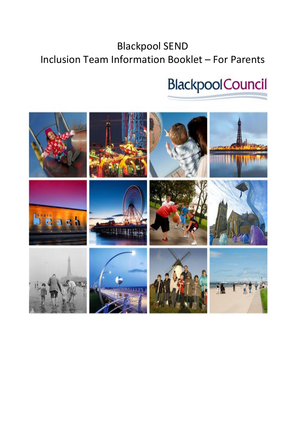# Blackpool SEND Inclusion Team Information Booklet – For Parents

# **BlackpoolCouncil**

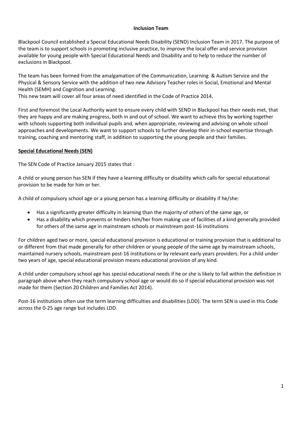#### **Inclusion Team**

Blackpool Council established a Special Educational Needs Disability (SEND) Inclusion Team in 2017. The purpose of the team is to support schools in promoting inclusive practice, to improve the local offer and service provision available for young people with Special Educational Needs and Disability and to help to reduce the number of exclusions in Blackpool.

The team has been formed from the amalgamation of the Communication, Learning & Autism Service and the Physical & Sensory Service with the addition of two new Advisory Teacher roles in Social, Emotional and Mental Health (SEMH) and Cognition and Learning.

This new team will cover all four areas of need identified in the Code of Practice 2014.

First and foremost the Local Authority want to ensure every child with SEND in Blackpool has their needs met, that they are happy and are making progress, both in and out of school. We want to achieve this by working together with schools supporting both individual pupils and, when appropriate, reviewing and advising on whole school approaches and developments. We want to support schools to further develop their in-school expertise through training, coaching and mentoring staff, in addition to supporting the young people and their families.

# **Special Educational Needs (SEN)**

The SEN Code of Practice January 2015 states that :

A child or young person has SEN if they have a learning difficulty or disability which calls for special educational provision to be made for him or her.

A child of compulsory school age or a young person has a learning difficulty or disability if he/she:

- Has a significantly greater difficulty in learning than the majority of others of the same age, or
- Has a disability which prevents or hinders him/her from making use of facilities of a kind generally provided for others of the same age in mainstream schools or mainstream post-16 institutions

For children aged two or more, special educational provision is educational or training provision that is additional to or different from that made generally for other children or young people of the same age by mainstream schools, maintained nursery schools, mainstream post-16 institutions or by relevant early years providers. For a child under two years of age, special educational provision means educational provision of any kind.

A child under compulsory school age has special educational needs if he or she is likely to fall within the definition in paragraph above when they reach compulsory school age or would do so if special educational provision was not made for them (Section 20 Children and Families Act 2014).

Post-16 institutions often use the term learning difficulties and disabilities (LDD). The term SEN is used in this Code across the 0-25 age range but includes LDD.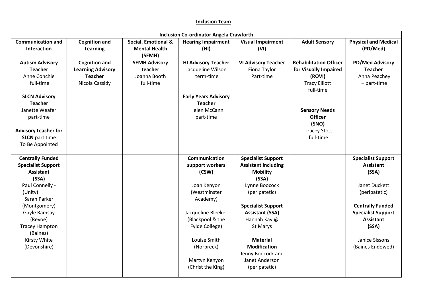# **Inclusion Team**

| <b>Inclusion Co-ordinator Angela Crawforth</b> |                                         |                                                       |                                   |                                  |                                   |                                         |
|------------------------------------------------|-----------------------------------------|-------------------------------------------------------|-----------------------------------|----------------------------------|-----------------------------------|-----------------------------------------|
| <b>Communication and</b><br><b>Interaction</b> | <b>Cognition and</b><br><b>Learning</b> | Social, Emotional &<br><b>Mental Health</b><br>(SEMH) | <b>Hearing Impairment</b><br>(HI) | <b>Visual Impairment</b><br>(VI) | <b>Adult Sensory</b>              | <b>Physical and Medical</b><br>(PD/Med) |
| <b>Autism Advisory</b>                         | <b>Cognition and</b>                    | <b>SEMH Advisory</b>                                  | <b>HI Advisory Teacher</b>        | <b>VI Advisory Teacher</b>       | <b>Rehabilitation Officer</b>     | <b>PD/Med Advisory</b>                  |
| <b>Teacher</b>                                 | <b>Learning Advisory</b>                | teacher                                               | Jacqueline Wilson                 | Fiona Taylor                     | for Visually Impaired             | <b>Teacher</b>                          |
| Anne Conchie                                   | <b>Teacher</b>                          | Joanna Booth                                          | term-time                         | Part-time                        | (ROVI)                            | Anna Peachey                            |
| full-time                                      | Nicola Cassidy                          | full-time                                             |                                   |                                  | <b>Tracy Elliott</b><br>full-time | - part-time                             |
| <b>SLCN Advisory</b>                           |                                         |                                                       | <b>Early Years Advisory</b>       |                                  |                                   |                                         |
| <b>Teacher</b>                                 |                                         |                                                       | <b>Teacher</b>                    |                                  |                                   |                                         |
| Janette Weafer                                 |                                         |                                                       | Helen McCann                      |                                  | <b>Sensory Needs</b>              |                                         |
| part-time                                      |                                         |                                                       | part-time                         |                                  | <b>Officer</b>                    |                                         |
|                                                |                                         |                                                       |                                   |                                  | (SNO)                             |                                         |
| <b>Advisory teacher for</b>                    |                                         |                                                       |                                   |                                  | <b>Tracey Stott</b>               |                                         |
| <b>SLCN</b> part time                          |                                         |                                                       |                                   |                                  | full-time                         |                                         |
| To Be Appointed                                |                                         |                                                       |                                   |                                  |                                   |                                         |
|                                                |                                         |                                                       |                                   |                                  |                                   |                                         |
| <b>Centrally Funded</b>                        |                                         |                                                       | <b>Communication</b>              | <b>Specialist Support</b>        |                                   | <b>Specialist Support</b>               |
| <b>Specialist Support</b>                      |                                         |                                                       | support workers                   | <b>Assistant including</b>       |                                   | <b>Assistant</b>                        |
| <b>Assistant</b>                               |                                         |                                                       | (CSW)                             | <b>Mobility</b>                  |                                   | (SSA)                                   |
| (SSA)                                          |                                         |                                                       |                                   | (SSA)                            |                                   |                                         |
| Paul Connelly -                                |                                         |                                                       | Joan Kenyon                       | Lynne Boocock                    |                                   | Janet Duckett                           |
| (Unity)                                        |                                         |                                                       | (Westminster                      | (peripatetic)                    |                                   | (peripatetic)                           |
| Sarah Parker                                   |                                         |                                                       | Academy)                          |                                  |                                   |                                         |
| (Montgomery)                                   |                                         |                                                       |                                   | <b>Specialist Support</b>        |                                   | <b>Centrally Funded</b>                 |
| Gayle Ramsay                                   |                                         |                                                       | Jacqueline Bleeker                | <b>Assistant (SSA)</b>           |                                   | <b>Specialist Support</b>               |
| (Revoe)                                        |                                         |                                                       | (Blackpool & the                  | Hannah Kay @                     |                                   | <b>Assistant</b>                        |
| <b>Tracey Hampton</b>                          |                                         |                                                       | Fylde College)                    | St Marys                         |                                   | (SSA)                                   |
| (Baines)                                       |                                         |                                                       |                                   |                                  |                                   |                                         |
| Kirsty White                                   |                                         |                                                       | Louise Smith                      | <b>Material</b>                  |                                   | Janice Sissons                          |
| (Devonshire)                                   |                                         |                                                       | (Norbreck)                        | <b>Modification</b>              |                                   | (Baines Endowed)                        |
|                                                |                                         |                                                       |                                   | Jenny Boocock and                |                                   |                                         |
|                                                |                                         |                                                       | Martyn Kenyon                     | Janet Anderson                   |                                   |                                         |
|                                                |                                         |                                                       | (Christ the King)                 | (peripatetic)                    |                                   |                                         |
|                                                |                                         |                                                       |                                   |                                  |                                   |                                         |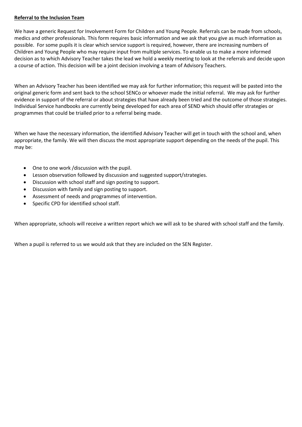# **Referral to the Inclusion Team**

We have a generic Request for Involvement Form for Children and Young People. Referrals can be made from schools, medics and other professionals. This form requires basic information and we ask that you give as much information as possible. For some pupils it is clear which service support is required, however, there are increasing numbers of Children and Young People who may require input from multiple services. To enable us to make a more informed decision as to which Advisory Teacher takes the lead we hold a weekly meeting to look at the referrals and decide upon a course of action. This decision will be a joint decision involving a team of Advisory Teachers.

When an Advisory Teacher has been identified we may ask for further information; this request will be pasted into the original generic form and sent back to the school SENCo or whoever made the initial referral. We may ask for further evidence in support of the referral or about strategies that have already been tried and the outcome of those strategies. Individual Service handbooks are currently being developed for each area of SEND which should offer strategies or programmes that could be trialled prior to a referral being made.

When we have the necessary information, the identified Advisory Teacher will get in touch with the school and, when appropriate, the family. We will then discuss the most appropriate support depending on the needs of the pupil. This may be:

- One to one work /discussion with the pupil.
- Lesson observation followed by discussion and suggested support/strategies.
- Discussion with school staff and sign posting to support.
- Discussion with family and sign posting to support.
- Assessment of needs and programmes of intervention.
- Specific CPD for identified school staff.

When appropriate, schools will receive a written report which we will ask to be shared with school staff and the family.

When a pupil is referred to us we would ask that they are included on the SEN Register.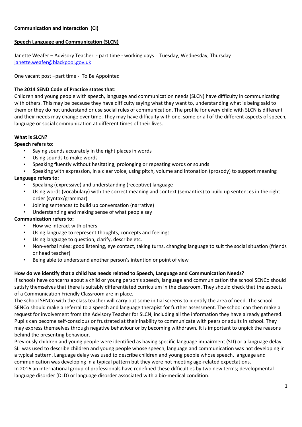# **Communication and Interaction (CI)**

# **Speech Language and Communication (SLCN)**

Janette Weafer – Advisory Teacher - part time - working days : Tuesday, Wednesday, Thursday [janette.weafer@blackpool.gov.uk](mailto:janette.weafer@blackpool.gov.uk)

One vacant post –part time - To Be Appointed

# **The 2014 SEND Code of Practice states that:**

Children and young people with speech, language and communication needs (SLCN) have difficulty in communicating with others. This may be because they have difficulty saying what they want to, understanding what is being said to them or they do not understand or use social rules of communication. The profile for every child with SLCN is different and their needs may change over time. They may have difficulty with one, some or all of the different aspects of speech, language or social communication at different times of their lives.

# **What is SLCN?**

# **Speech refers to:**

- Saying sounds accurately in the right places in words
- Using sounds to make words
- Speaking fluently without hesitating, prolonging or repeating words or sounds
- Speaking with expression, in a clear voice, using pitch, volume and intonation (prosody) to support meaning **Language refers to:**
	- Speaking (expressive) and understanding (receptive) language
	- Using words (vocabulary) with the correct meaning and context (semantics) to build up sentences in the right order (syntax/grammar)
	- Joining sentences to build up conversation (narrative)
	- Understanding and making sense of what people say

# **Communication refers to:**

- How we interact with others
- Using language to represent thoughts, concepts and feelings
- Using language to question, clarify, describe etc.
- Non-verbal rules: good listening, eye contact, taking turns, changing language to suit the social situation (friends or head teacher)
- Being able to understand another person's intention or point of view

# **How do we identify that a child has needs related to Speech, Language and Communication Needs?**

If schools have concerns about a child or young person's speech, language and communication the school SENCo should satisfy themselves that there is suitably differentiated curriculum in the classroom. They should check that the aspects of a Communication Friendly Classroom are in place.

The school SENCo with the class teacher will carry out some initial screens to identify the area of need. The school SENCo should make a referral to a speech and language therapist for further assessment. The school can then make a request for involvement from the Advisory Teacher for SLCN, including all the information they have already gathered. Pupils can become self-conscious or frustrated at their inability to communicate with peers or adults in school. They may express themselves through negative behaviour or by becoming withdrawn. It is important to unpick the reasons behind the presenting behaviour.

Previously children and young people were identified as having specific language impairment (SLI) or a language delay. SLI was used to describe children and young people whose speech, language and communication was not developing in a typical pattern. Language delay was used to describe children and young people whose speech, language and communication was developing in a typical pattern but they were not meeting age-related expectations.

In 2016 an international group of professionals have redefined these difficulties by two new terms; developmental language disorder (DLD) or language disorder associated with a bio-medical condition.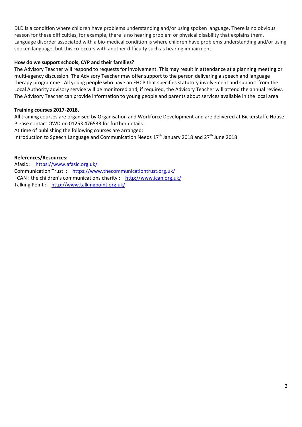DLD is a condition where children have problems understanding and/or using spoken language. There is no obvious reason for these difficulties, for example, there is no hearing problem or physical disability that explains them. Language disorder associated with a bio-medical condition is where children have problems understanding and/or using spoken language, but this co-occurs with another difficulty such as hearing impairment.

## **How do we support schools, CYP and their families?**

The Advisory Teacher will respond to requests for involvement. This may result in attendance at a planning meeting or multi-agency discussion. The Advisory Teacher may offer support to the person delivering a speech and language therapy programme. All young people who have an EHCP that specifies statutory involvement and support from the Local Authority advisory service will be monitored and, if required, the Advisory Teacher will attend the annual review. The Advisory Teacher can provide information to young people and parents about services available in the local area.

#### **Training courses 2017-2018.**

All training courses are organised by Organisation and Workforce Development and are delivered at Bickerstaffe House. Please contact OWD on 01253 476533 for further details. At time of publishing the following courses are arranged:

Introduction to Speech Language and Communication Needs  $17<sup>th</sup>$  January 2018 and 27<sup>th</sup> June 2018

#### **References/Resources:**

Afasic : <https://www.afasic.org.uk/> Communication Trust : <https://www.thecommunicationtrust.org.uk/> I CAN : the children's communications charity : <http://www.ican.org.uk/> Talking Point : <http://www.talkingpoint.org.uk/>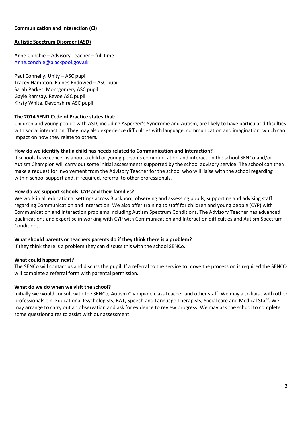# **Communication and interaction (CI)**

## **Autistic Spectrum Disorder (ASD)**

Anne Conchie – Advisory Teacher – full time [Anne.conchie@blackpool.gov.uk](file:///C:/My%20Documents/1.2017-18/Inclusion%20Team%20Development%20work/Inclusion%20Booklet/Anne.conchie@blackpool.gov.uk)

Paul Connelly. Unity – ASC pupil Tracey Hampton. Baines Endowed – ASC pupil Sarah Parker. Montgomery ASC pupil Gayle Ramsay. Revoe ASC pupil Kirsty White. Devonshire ASC pupil

#### **The 2014 SEND Code of Practice states that:**

Children and young people with ASD, including Asperger's Syndrome and Autism, are likely to have particular difficulties with social interaction. They may also experience difficulties with language, communication and imagination, which can impact on how they relate to others.'

#### **How do we identify that a child has needs related to Communication and Interaction?**

If schools have concerns about a child or young person's communication and interaction the school SENCo and/or Autism Champion will carry out some initial assessments supported by the school advisory service. The school can then make a request for involvement from the Advisory Teacher for the school who will liaise with the school regarding within school support and, if required, referral to other professionals.

#### **How do we support schools, CYP and their families?**

We work in all educational settings across Blackpool, observing and assessing pupils, supporting and advising staff regarding Communication and Interaction. We also offer training to staff for children and young people (CYP) with Communication and Interaction problems including Autism Spectrum Conditions. The Advisory Teacher has advanced qualifications and expertise in working with CYP with Communication and Interaction difficulties and Autism Spectrum Conditions.

#### **What should parents or teachers parents do if they think there is a problem?**

If they think there is a problem they can discuss this with the school SENCo.

#### **What could happen next?**

The SENCo will contact us and discuss the pupil. If a referral to the service to move the process on is required the SENCO will complete a referral form with parental permission.

#### **What do we do when we visit the school?**

Initially we would consult with the SENCo, Autism Champion, class teacher and other staff. We may also liaise with other professionals e.g. Educational Psychologists, BAT, Speech and Language Therapists, Social care and Medical Staff. We may arrange to carry out an observation and ask for evidence to review progress. We may ask the school to complete some questionnaires to assist with our assessment.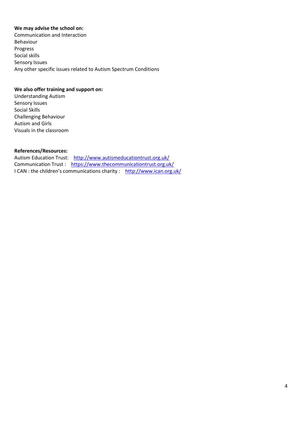#### **We may advise the school on:**

Communication and Interaction Behaviour Progress Social skills Sensory Issues Any other specific issues related to Autism Spectrum Conditions

#### **We also offer training and support on:**

Understanding Autism Sensory Issues Social Skills Challenging Behaviour Autism and Girls Visuals in the classroom

#### **References/Resources:**

Autism Education Trust: <http://www.autismeducationtrust.org.uk/> Communication Trust : <https://www.thecommunicationtrust.org.uk/> I CAN : the children's communications charity : <http://www.ican.org.uk/>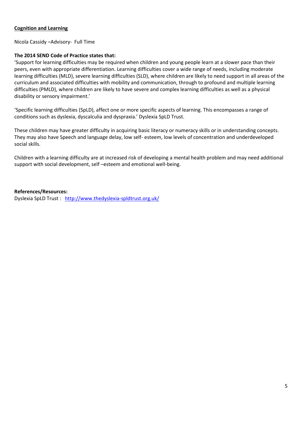#### **Cognition and Learning**

Nicola Cassidy –Advisory- Full Time

#### **The 2014 SEND Code of Practice states that:**

'Support for learning difficulties may be required when children and young people learn at a slower pace than their peers, even with appropriate differentiation. Learning difficulties cover a wide range of needs, including moderate learning difficulties (MLD), severe learning difficulties (SLD), where children are likely to need support in all areas of the curriculum and associated difficulties with mobility and communication, through to profound and multiple learning difficulties (PMLD), where children are likely to have severe and complex learning difficulties as well as a physical disability or sensory impairment.'

'Specific learning difficulties (SpLD), affect one or more specific aspects of learning. This encompasses a range of conditions such as dyslexia, dyscalculia and dyspraxia.' Dyslexia SpLD Trust.

These children may have greater difficulty in acquiring basic literacy or numeracy skills or in understanding concepts. They may also have Speech and language delay, low self- esteem, low levels of concentration and underdeveloped social skills.

Children with a learning difficulty are at increased risk of developing a mental health problem and may need additional support with social development, self –esteem and emotional well-being.

#### **References/Resources:**

Dyslexia SpLD Trust : <http://www.thedyslexia-spldtrust.org.uk/>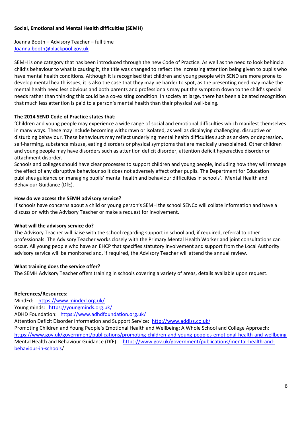# **Social, Emotional and Mental Health difficulties (SEMH)**

Joanna Booth – Advisory Teacher – full time [Joanna.booth@blackpool.gov.uk](mailto:Joanna.booth@blackpool.gov.uk) 

SEMH is one category that has been introduced through the new Code of Practice. As well as the need to look behind a child's behaviour to what is causing it, the title was changed to reflect the increasing attention being given to pupils who have mental health conditions. Although it is recognised that children and young people with SEND are more prone to develop mental health issues, it is also the case that they may be harder to spot, as the presenting need may make the mental health need less obvious and both parents and professionals may put the symptom down to the child's special needs rather than thinking this could be a co-existing condition. In society at large, there has been a belated recognition that much less attention is paid to a person's mental health than their physical well-being.

# **The 2014 SEND Code of Practice states that:**

'Children and young people may experience a wide range of social and emotional difficulties which manifest themselves in many ways. These may include becoming withdrawn or isolated, as well as displaying challenging, disruptive or disturbing behaviour. These behaviours may reflect underlying mental health difficulties such as anxiety or depression, self-harming, substance misuse, eating disorders or physical symptoms that are medically unexplained. Other children and young people may have disorders such as attention deficit disorder, attention deficit hyperactive disorder or attachment disorder.

Schools and colleges should have clear processes to support children and young people, including how they will manage the effect of any disruptive behaviour so it does not adversely affect other pupils. The Department for Education publishes guidance on managing pupils' mental health and behaviour difficulties in schools'. Mental Health and Behaviour Guidance (DfE).

#### **How do we access the SEMH advisory service?**

If schools have concerns about a child or young person's SEMH the school SENCo will collate information and have a discussion with the Advisory Teacher or make a request for involvement.

#### **What will the advisory service do?**

The Advisory Teacher will liaise with the school regarding support in school and, if required, referral to other professionals. The Advisory Teacher works closely with the Primary Mental Health Worker and joint consultations can occur. All young people who have an EHCP that specifies statutory involvement and support from the Local Authority advisory service will be monitored and, if required, the Advisory Teacher will attend the annual review.

#### **What training does the service offer?**

The SEMH Advisory Teacher offers training in schools covering a variety of areas, details available upon request.

# **References/Resources:**

MindEd: <https://www.minded.org.uk/>

Young minds: <https://youngminds.org.uk/>

ADHD Foundation: <https://www.adhdfoundation.org.uk/>

Attention Deficit Disorder Information and Support Service: <http://www.addiss.co.uk/>

Promoting Children and Young People's Emotional Health and Wellbeing: A Whole School and College Approach: <https://www.gov.uk/government/publications/promoting-children-and-young-peoples-emotional-health-and-wellbeing> Mental Health and Behaviour Guidance (DfE): [https://www.gov.uk/government/publications/mental-health-and](https://www.gov.uk/government/publications/mental-health-and-behaviour-in-schools)[behaviour-in-schools/](https://www.gov.uk/government/publications/mental-health-and-behaviour-in-schools)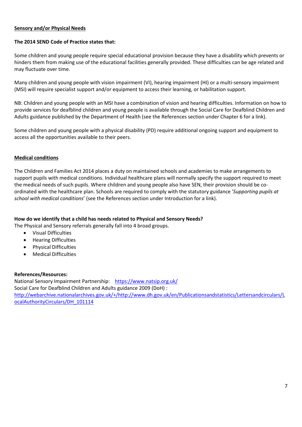# **Sensory and/or Physical Needs**

# **The 2014 SEND Code of Practice states that:**

Some children and young people require special educational provision because they have a disability which prevents or hinders them from making use of the educational facilities generally provided. These difficulties can be age related and may fluctuate over time.

Many children and young people with vision impairment (VI), hearing impairment (HI) or a multi-sensory impairment (MSI) will require specialist support and/or equipment to access their learning, or habilitation support.

NB: Children and young people with an MSI have a combination of vision and hearing difficulties. Information on how to provide services for deafblind children and young people is available through the Social Care for Deafblind Children and Adults guidance published by the Department of Health (see the References section under Chapter 6 for a link).

Some children and young people with a physical disability (PD) require additional ongoing support and equipment to access all the opportunities available to their peers.

#### **Medical conditions**

The Children and Families Act 2014 places a duty on maintained schools and academies to make arrangements to support pupils with medical conditions. Individual healthcare plans will normally specify the support required to meet the medical needs of such pupils. Where children and young people also have SEN, their provision should be coordinated with the healthcare plan. Schools are required to comply with the statutory guidance '*Supporting pupils at school with medical conditions*' (see the References section under Introduction for a link).

# **How do we identify that a child has needs related to Physical and Sensory Needs?**

The Physical and Sensory referrals generally fall into 4 broad groups.

- Visual Difficulties
- Hearing Difficulties
- Physical Difficulties
- Medical Difficulties

#### **References/Resources:**

National Sensory Impairment Partnership: <https://www.natsip.org.uk/> Social Care for Deafblind Children and Adults guidance 2009 (DoH) : [http://webarchive.nationalarchives.gov.uk/+/http://www.dh.gov.uk/en/Publicationsandstatistics/Lettersandcirculars/L](http://webarchive.nationalarchives.gov.uk/+/http:/www.dh.gov.uk/en/Publicationsandstatistics/Lettersandcirculars/LocalAuthorityCirculars/DH_101114) [ocalAuthorityCirculars/DH\\_101114](http://webarchive.nationalarchives.gov.uk/+/http:/www.dh.gov.uk/en/Publicationsandstatistics/Lettersandcirculars/LocalAuthorityCirculars/DH_101114)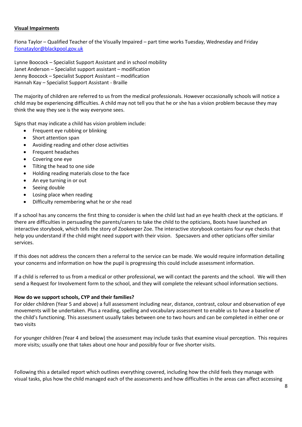## **Visual Impairments**

Fiona Taylor – Qualified Teacher of the Visually Impaired – part time works Tuesday, Wednesday and Friday [Fionataylor@blackpool.gov.uk](mailto:Fionataylor@blackpool.gov.uk)

Lynne Boocock – Specialist Support Assistant and in school mobility Janet Anderson – Specialist support assistant – modification Jenny Boocock – Specialist Support Assistant – modification Hannah Kay – Specialist Support Assistant - Braille

The majority of children are referred to us from the medical professionals. However occasionally schools will notice a child may be experiencing difficulties. A child may not tell you that he or she has a vision problem because they may think the way they see is the way everyone sees.

Signs that may indicate a child has vision problem include:

- Frequent eye rubbing or blinking
- Short attention span
- Avoiding reading and other close activities
- Frequent headaches
- Covering one eye
- Tilting the head to one side
- Holding reading materials close to the face
- An eye turning in or out
- Seeing double
- Losing place when reading
- Difficulty remembering what he or she read

If a school has any concerns the first thing to consider is when the child last had an eye health check at the opticians. If there are difficulties in persuading the parents/carers to take the child to the opticians, Boots have launched an interactive storybook, which tells the story of Zookeeper Zoe. The interactive storybook contains four eye checks that help you understand if the child might need support with their vision. Specsavers and other opticians offer similar services.

If this does not address the concern then a referral to the service can be made. We would require information detailing your concerns and information on how the pupil is progressing this could include assessment information.

If a child is referred to us from a medical or other professional, we will contact the parents and the school. We will then send a Request for Involvement form to the school, and they will complete the relevant school information sections.

#### **How do we support schools, CYP and their families?**

For older children (Year 5 and above) a full assessment including near, distance, contrast, colour and observation of eye movements will be undertaken. Plus a reading, spelling and vocabulary assessment to enable us to have a baseline of the child's functioning. This assessment usually takes between one to two hours and can be completed in either one or two visits

For younger children (Year 4 and below) the assessment may include tasks that examine visual perception. This requires more visits; usually one that takes about one hour and possibly four or five shorter visits.

Following this a detailed report which outlines everything covered, including how the child feels they manage with visual tasks, plus how the child managed each of the assessments and how difficulties in the areas can affect accessing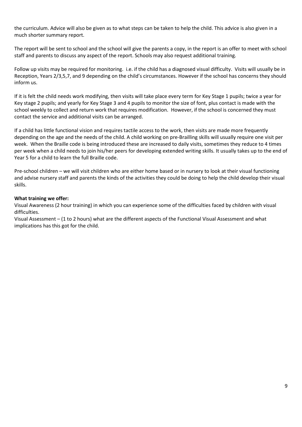the curriculum. Advice will also be given as to what steps can be taken to help the child. This advice is also given in a much shorter summary report.

The report will be sent to school and the school will give the parents a copy, in the report is an offer to meet with school staff and parents to discuss any aspect of the report. Schools may also request additional training.

Follow up visits may be required for monitoring. i.e. if the child has a diagnosed visual difficulty. Visits will usually be in Reception, Years 2/3,5,7, and 9 depending on the child's circumstances. However if the school has concerns they should inform us.

If it is felt the child needs work modifying, then visits will take place every term for Key Stage 1 pupils; twice a year for Key stage 2 pupils; and yearly for Key Stage 3 and 4 pupils to monitor the size of font, plus contact is made with the school weekly to collect and return work that requires modification. However, if the school is concerned they must contact the service and additional visits can be arranged.

If a child has little functional vision and requires tactile access to the work, then visits are made more frequently depending on the age and the needs of the child. A child working on pre-Brailling skills will usually require one visit per week. When the Braille code is being introduced these are increased to daily visits, sometimes they reduce to 4 times per week when a child needs to join his/her peers for developing extended writing skills. It usually takes up to the end of Year 5 for a child to learn the full Braille code.

Pre-school children – we will visit children who are either home based or in nursery to look at their visual functioning and advise nursery staff and parents the kinds of the activities they could be doing to help the child develop their visual skills.

#### **What training we offer:**

Visual Awareness (2 hour training) in which you can experience some of the difficulties faced by children with visual difficulties.

Visual Assessment – (1 to 2 hours) what are the different aspects of the Functional Visual Assessment and what implications has this got for the child.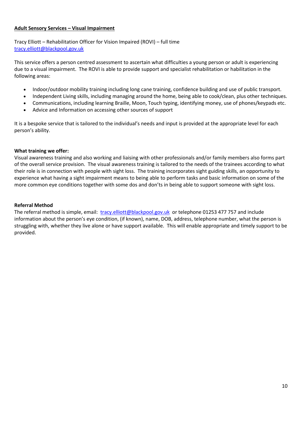# **Adult Sensory Services – Visual Impairment**

Tracy Elliott – Rehabilitation Officer for Vision Impaired (ROVI) – full time [tracy.elliott@blackpool.gov.uk](mailto:tracy.elliott@blackpool.gov.uk)

This service offers a person centred assessment to ascertain what difficulties a young person or adult is experiencing due to a visual impairment. The ROVI is able to provide support and specialist rehabilitation or habilitation in the following areas:

- Indoor/outdoor mobility training including long cane training, confidence building and use of public transport.
- Independent Living skills, including managing around the home, being able to cook/clean, plus other techniques.
- Communications, including learning Braille, Moon, Touch typing, identifying money, use of phones/keypads etc.
- Advice and Information on accessing other sources of support

It is a bespoke service that is tailored to the individual's needs and input is provided at the appropriate level for each person's ability.

#### **What training we offer:**

Visual awareness training and also working and liaising with other professionals and/or family members also forms part of the overall service provision. The visual awareness training is tailored to the needs of the trainees according to what their role is in connection with people with sight loss. The training incorporates sight guiding skills, an opportunity to experience what having a sight impairment means to being able to perform tasks and basic information on some of the more common eye conditions together with some dos and don'ts in being able to support someone with sight loss.

#### **Referral Method**

The referral method is simple, email: [tracy.elliott@blackpool.gov.uk](mailto:tracy.elliott@blackpool.gov.uk) or telephone 01253 477 757 and include information about the person's eye condition, (if known), name, DOB, address, telephone number, what the person is struggling with, whether they live alone or have support available. This will enable appropriate and timely support to be provided.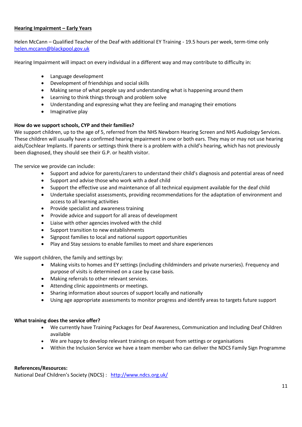# **Hearing Impairment – Early Years**

Helen McCann – Qualified Teacher of the Deaf with additional EY Training - 19.5 hours per week, term-time only [helen.mccann@blackpool.gov.uk](mailto:helen.mccann@blackpool.gov.uk)

Hearing Impairment will impact on every individual in a different way and may contribute to difficulty in:

- Language development
- Development of friendships and social skills
- Making sense of what people say and understanding what is happening around them
- Learning to think things through and problem solve
- Understanding and expressing what they are feeling and managing their emotions
- Imaginative play

# **How do we support schools, CYP and their families?**

We support children, up to the age of 5, referred from the NHS Newborn Hearing Screen and NHS Audiology Services. These children will usually have a confirmed hearing impairment in one or both ears. They may or may not use hearing aids/Cochlear Implants. If parents or settings think there is a problem with a child's hearing, which has not previously been diagnosed, they should see their G.P. or health visitor.

The service we provide can include:

- Support and advice for parents/carers to understand their child's diagnosis and potential areas of need
- Support and advise those who work with a deaf child
- Support the effective use and maintenance of all technical equipment available for the deaf child
- Undertake specialist assessments, providing recommendations for the adaptation of environment and access to all learning activities
- Provide specialist and awareness training
- Provide advice and support for all areas of development
- Liaise with other agencies involved with the child
- Support transition to new establishments
- Signpost families to local and national support opportunities
- Play and Stay sessions to enable families to meet and share experiences

We support children, the family and settings by:

- Making visits to homes and EY settings (including childminders and private nurseries). Frequency and purpose of visits is determined on a case by case basis.
- Making referrals to other relevant services.
- Attending clinic appointments or meetings.
- Sharing information about sources of support locally and nationally
- Using age appropriate assessments to monitor progress and identify areas to targets future support

# **What training does the service offer?**

- We currently have Training Packages for Deaf Awareness, Communication and Including Deaf Children available
- We are happy to develop relevant trainings on request from settings or organisations
- Within the Inclusion Service we have a team member who can deliver the NDCS Family Sign Programme

# **References/Resources:**

National Deaf Children's Society (NDCS) : <http://www.ndcs.org.uk/>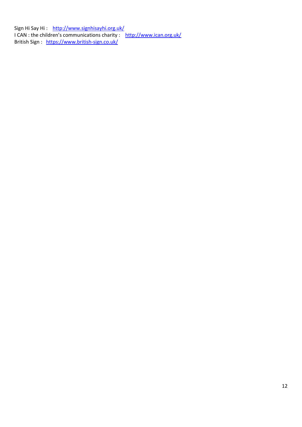Sign Hi Say Hi : <http://www.signhisayhi.org.uk/> I CAN : the children's communications charity : http://www.ican.org.uk/ British Sign : <https://www.british-sign.co.uk/>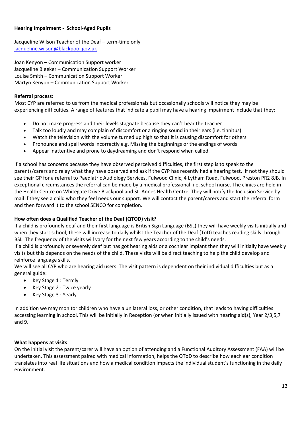# **Hearing Impairment - School-Aged Pupils**

Jacqueline Wilson Teacher of the Deaf – term-time only [jacqueline.wilson@blackpool.gov.uk](mailto:jacqueline.wilson@blackpool.gov.uk)

Joan Kenyon – Communication Support worker Jacqueline Bleeker – Communication Support Worker Louise Smith – Communication Support Worker Martyn Kenyon – Communication Support Worker

# **Referral process:**

Most CYP are referred to us from the medical professionals but occasionally schools will notice they may be experiencing difficulties. A range of features that indicate a pupil may have a hearing impairment include that they:

- Do not make progress and their levels stagnate because they can't hear the teacher
- Talk too loudly and may complain of discomfort or a ringing sound in their ears (i.e. tinnitus)
- Watch the television with the volume turned up high so that it is causing discomfort for others
- Pronounce and spell words incorrectly e.g. Missing the beginnings or the endings of words
- Appear inattentive and prone to daydreaming and don't respond when called.

If a school has concerns because they have observed perceived difficulties, the first step is to speak to the parents/carers and relay what they have observed and ask if the CYP has recently had a hearing test. If not they should see their GP for a referral to Paediatric Audiology Services, Fulwood Clinic, 4 Lytham Road, Fulwood, Preston PR2 8JB. In exceptional circumstances the referral can be made by a medical professional, i.e. school nurse. The clinics are held in the Health Centre on Whitegate Drive Blackpool and St. Annes Health Centre. They will notify the Inclusion Service by mail if they see a child who they feel needs our support. We will contact the parent/carers and start the referral form and then forward it to the school SENCO for completion.

# **How often does a Qualified Teacher of the Deaf (QTOD) visit?**

If a child is profoundly deaf and their first language is British Sign Language (BSL) they will have weekly visits initially and when they start school, these will increase to daily whilst the Teacher of the Deaf (ToD) teaches reading skills through BSL. The frequency of the visits will vary for the next few years according to the child's needs.

If a child is profoundly or severely deaf but has got hearing aids or a cochlear implant then they will initially have weekly visits but this depends on the needs of the child. These visits will be direct teaching to help the child develop and reinforce language skills.

We will see all CYP who are hearing aid users. The visit pattern is dependent on their individual difficulties but as a general guide:

- Key Stage 1 : Termly
- Key Stage 2 : Twice yearly
- Key Stage 3 : Yearly

In addition we may monitor children who have a unilateral loss, or other condition, that leads to having difficulties accessing learning in school. This will be initially in Reception (or when initially issued with hearing aid(s), Year 2/3,5,7 and 9.

# **What happens at visits**:

On the initial visit the parent/carer will have an option of attending and a Functional Auditory Assessment (FAA) will be undertaken. This assessment paired with medical information, helps the QToD to describe how each ear condition translates into real life situations and how a medical condition impacts the individual student's functioning in the daily environment.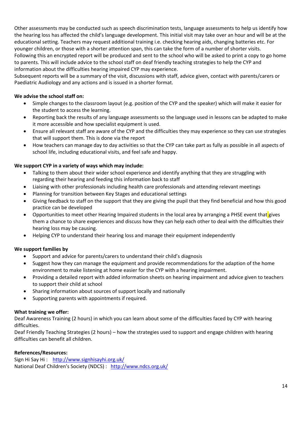Other assessments may be conducted such as speech discrimination tests, language assessments to help us identify how the hearing loss has affected the child's language development. This initial visit may take over an hour and will be at the educational setting. Teachers may request additional training i.e. checking hearing aids, changing batteries etc. For younger children, or those with a shorter attention span, this can take the form of a number of shorter visits. Following this an encrypted report will be produced and sent to the school who will be asked to print a copy to go home to parents. This will include advice to the school staff on deaf friendly teaching strategies to help the CYP and information about the difficulties hearing impaired CYP may experience.

Subsequent reports will be a summary of the visit, discussions with staff, advice given, contact with parents/carers or Paediatric Audiology and any actions and is issued in a shorter format.

# **We advise the school staff on:**

- Simple changes to the classroom layout (e.g. position of the CYP and the speaker) which will make it easier for the student to access the learning.
- Reporting back the results of any language assessments so the language used in lessons can be adapted to make it more accessible and how specialist equipment is used.
- Ensure all relevant staff are aware of the CYP and the difficulties they may experience so they can use strategies that will support them. This is done via the report
- How teachers can manage day to day activities so that the CYP can take part as fully as possible in all aspects of school life, including educational visits, and feel safe and happy.

# **We support CYP in a variety of ways which may include:**

- Talking to them about their wider school experience and identify anything that they are struggling with regarding their hearing and feeding this information back to staff
- Liaising with other professionals including health care professionals and attending relevant meetings
- Planning for transition between Key Stages and educational settings
- Giving feedback to staff on the support that they are giving the pupil that they find beneficial and how this good practice can be developed
- Opportunities to meet other Hearing Impaired students in the local area by arranging a PHSE event that gives them a chance to share experiences and discuss how they can help each other to deal with the difficulties their hearing loss may be causing.
- Helping CYP to understand their hearing loss and manage their equipment independently

# **We support families by**

- Support and advice for parents/carers to understand their child's diagnosis
- Suggest how they can manage the equipment and provide recommendations for the adaption of the home environment to make listening at home easier for the CYP with a hearing impairment.
- Providing a detailed report with added information sheets on hearing impairment and advice given to teachers to support their child at school
- Sharing information about sources of support locally and nationally
- Supporting parents with appointments if required.

# **What training we offer:**

Deaf Awareness Training (2 hours) in which you can learn about some of the difficulties faced by CYP with hearing difficulties.

Deaf Friendly Teaching Strategies (2 hours) – how the strategies used to support and engage children with hearing difficulties can benefit all children.

# **References/Resources:**

Sign Hi Say Hi : <http://www.signhisayhi.org.uk/> National Deaf Children's Society (NDCS) : <http://www.ndcs.org.uk/>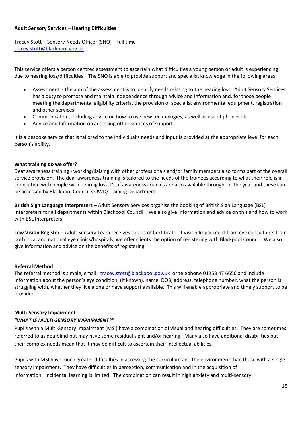#### **Adult Sensory Services – Hearing Difficulties**

Tracey Stott – Sensory Needs Officer (SNO) – full time [tracey.stott@blackpool.gov.uk](mailto:tracey.stott@blackpool.gov.uk)

This service offers a person centred assessment to ascertain what difficulties a young person or adult is experiencing due to hearing loss/difficulties . The SNO is able to provide support and specialist knowledge in the following areas:

- Assessment the aim of the assessment is to identify needs relating to the hearing loss. Adult Sensory Services has a duty to promote and maintain independence through advice and information and, for those people meeting the departmental eligibility criteria, the provision of specialist environmental equipment, registration and other services.
- Communication, including advice on how to use new technologies, as well as use of phones etc.
- Advice and Information on accessing other sources of support

It is a bespoke service that is tailored to the individual's needs and input is provided at the appropriate level for each person's ability.

# **What training do we offer?**

Deaf awareness training - working/liaising with other professionals and/or family members also forms part of the overall service provision. The deaf awareness training is tailored to the needs of the trainees according to what their role is in connection with people with hearing loss. Deaf awareness courses are also available throughout the year and these can be accessed by Blackpool Council's OWD/Training Department.

**British Sign Language Interpreters** – Adult Sensory Services organise the booking of British Sign Language (BSL) Interpreters for all departments within Blackpool Council. We also give information and advice on this and how to work with BSL Interpreters.

**Low Vision Register** – Adult Sensory Team receives copies of Certificate of Vision Impairment from eye consultants from both local and national eye clinics/hospitals, we offer clients the option of registering with Blackpool Council. We also give information and advice on the benefits of registering.

# **Referral Method**

The referral method is simple, email: [tracey.stott@blackpool.gov.uk](mailto:tracey.stott@blackpool.gov.uk) or telephone 01253 47 6656 and include information about the person's eye condition, (if known), name, DOB, address, telephone number, what the person is struggling with, whether they live alone or have support available. This will enable appropriate and timely support to be provided.

# **Multi-Sensory Impairment**

# *"WHAT IS MULTI-SENSORY IMPAIRMENT?"*

Pupils with a Multi-Sensory Impairment (MSI) have a combination of visual and hearing difficulties. They are sometimes referred to as deafblind but may have some residual sight and/or hearing. Many also have additional disabilities but their complex needs mean that it may be difficult to ascertain their intellectual abilities.

Pupils with MSI have much greater difficulties in accessing the curriculum and the environment than those with a single sensory impairment. They have difficulties in perception, communication and in the acquisition of information. Incidental learning is limited. The combination can result in high anxiety and multi-sensory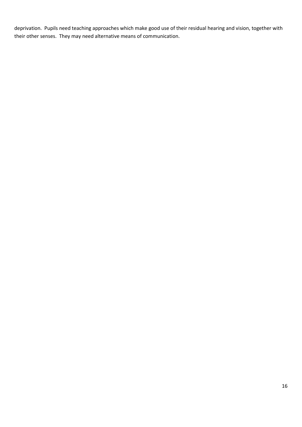deprivation. Pupils need teaching approaches which make good use of their residual hearing and vision, together with their other senses. They may need alternative means of communication.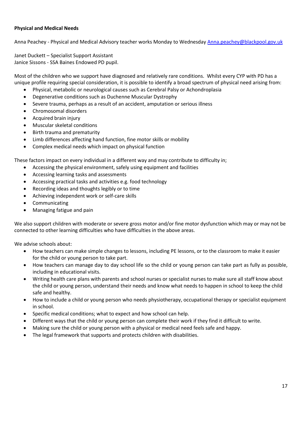## **Physical and Medical Needs**

Anna Peachey - Physical and Medical Advisory teacher works Monday to Wednesday [Anna.peachey@blackpool.gov.uk](mailto:Anna.peachey@blackpool.gov.uk)

Janet Duckett – Specialist Support Assistant Janice Sissons - SSA Baines Endowed PD pupil.

Most of the children who we support have diagnosed and relatively rare conditions. Whilst every CYP with PD has a unique profile requiring special consideration, it is possible to identify a broad spectrum of physical need arising from:

- Physical, metabolic or neurological causes such as Cerebral Palsy or Achondroplasia
- Degenerative conditions such as Duchenne Muscular Dystrophy
- Severe trauma, perhaps as a result of an accident, amputation or serious illness
- Chromosomal disorders
- Acquired brain injury
- Muscular skeletal conditions
- Birth trauma and prematurity
- Limb differences affecting hand function, fine motor skills or mobility
- Complex medical needs which impact on physical function

These factors impact on every individual in a different way and may contribute to difficulty in;

- Accessing the physical environment, safely using equipment and facilities
- Accessing learning tasks and assessments
- Accessing practical tasks and activities e.g. food technology
- Recording ideas and thoughts legibly or to time
- Achieving independent work or self-care skills
- Communicating
- Managing fatigue and pain

We also support children with moderate or severe gross motor and/or fine motor dysfunction which may or may not be connected to other learning difficulties who have difficulties in the above areas.

We advise schools about:

- How teachers can make simple changes to lessons, including PE lessons, or to the classroom to make it easier for the child or young person to take part.
- How teachers can manage day to day school life so the child or young person can take part as fully as possible, including in educational visits.
- Writing health care plans with parents and school nurses or specialist nurses to make sure all staff know about the child or young person, understand their needs and know what needs to happen in school to keep the child safe and healthy.
- How to include a child or young person who needs physiotherapy, occupational therapy or specialist equipment in school.
- Specific medical conditions; what to expect and how school can help.
- Different ways that the child or young person can complete their work if they find it difficult to write.
- Making sure the child or young person with a physical or medical need feels safe and happy.
- The legal framework that supports and protects children with disabilities.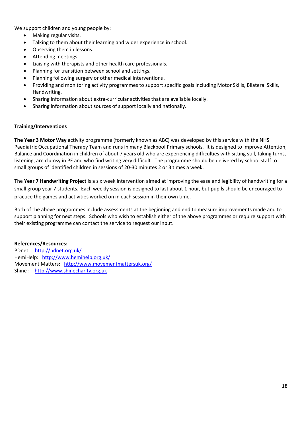We support children and young people by:

- Making regular visits.
- Talking to them about their learning and wider experience in school.
- Observing them in lessons.
- Attending meetings.
- Liaising with therapists and other health care professionals.
- Planning for transition between school and settings.
- Planning following surgery or other medical interventions .
- Providing and monitoring activity programmes to support specific goals including Motor Skills, Bilateral Skills, Handwriting.
- Sharing information about extra-curricular activities that are available locally.
- Sharing information about sources of support locally and nationally.

#### **Training/Interventions**

**The Year 3 Motor Way** activity programme (formerly known as ABC) was developed by this service with the NHS Paediatric Occupational Therapy Team and runs in many Blackpool Primary schools. It is designed to improve Attention, Balance and Coordination in children of about 7 years old who are experiencing difficulties with sitting still, taking turns, listening, are clumsy in PE and who find writing very difficult. The programme should be delivered by school staff to small groups of identified children in sessions of 20-30 minutes 2 or 3 times a week.

The **Year 7 Handwriting Project** is a six week intervention aimed at improving the ease and legibility of handwriting for a small group year 7 students. Each weekly session is designed to last about 1 hour, but pupils should be encouraged to practice the games and activities worked on in each session in their own time.

Both of the above programmes include assessments at the beginning and end to measure improvements made and to support planning for next steps. Schools who wish to establish either of the above programmes or require support with their existing programme can contact the service to request our input.

#### **References/Resources:**

PDnet: <http://pdnet.org.uk/> HemiHelp: <http://www.hemihelp.org.uk/> Movement Matters: <http://www.movementmattersuk.org/> Shine : [http://www.shinecharity.org.uk](http://www.shinecharity.org.uk/)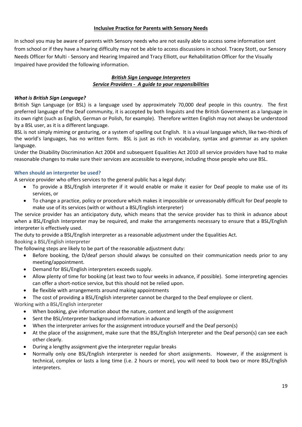# **Inclusive Practice for Parents with Sensory Needs**

In school you may be aware of parents with Sensory needs who are not easily able to access some information sent from school or if they have a hearing difficulty may not be able to access discussions in school. Tracey Stott, our Sensory Needs Officer for Multi - Sensory and Hearing Impaired and Tracy Elliott, our Rehabilitation Officer for the Visually Impaired have provided the following information.

#### *British Sign Language Interpreters Service Providers - A guide to your responsibilities*

#### *What is British Sign Language?*

British Sign Language (or BSL) is a language used by approximately 70,000 deaf people in this country. The first preferred language of the Deaf community, it is accepted by both linguists and the British Government as a language in its own right (such as English, German or Polish, for example). Therefore written English may not always be understood by a BSL user, as it is a different language.

BSL is not simply miming or gesturing, or a system of spelling out English. It is a visual language which, like two-thirds of the world's languages, has no written form. BSL is just as rich in vocabulary, syntax and grammar as any spoken language.

Under the Disability Discrimination Act 2004 and subsequent Equalities Act 2010 all service providers have had to make reasonable changes to make sure their services are accessible to everyone, including those people who use BSL.

#### **When should an interpreter be used?**

A service provider who offers services to the general public has a legal duty:

- To provide a BSL/English interpreter if it would enable or make it easier for Deaf people to make use of its services, or
- To change a practice, policy or procedure which makes it impossible or unreasonably difficult for Deaf people to make use of its services (with or without a BSL/English interpreter)

The service provider has an anticipatory duty, which means that the service provider has to think in advance about when a BSL/English Interpreter may be required, and make the arrangements necessary to ensure that a BSL/English interpreter is effectively used.

The duty to provide a BSL/English interpreter as a reasonable adjustment under the Equalities Act.

# Booking a BSL/English interpreter

The following steps are likely to be part of the reasonable adjustment duty:

- Before booking, the D/deaf person should always be consulted on their communication needs prior to any meeting/appointment.
- Demand for BSL/English interpreters exceeds supply.
- Allow plenty of time for booking (at least two to four weeks in advance, if possible). Some interpreting agencies can offer a short-notice service, but this should not be relied upon.
- Be flexible with arrangements around making appointments
- The cost of providing a BSL/English interpreter cannot be charged to the Deaf employee or client.

# Working with a BSL/English interpreter

- When booking, give information about the nature, content and length of the assignment
- Sent the BSL/interpreter background information in advance
- When the interpreter arrives for the assignment introduce yourself and the Deaf person(s)
- At the place of the assignment, make sure that the BSL/English Interpreter and the Deaf person(s) can see each other clearly.
- During a lengthy assignment give the interpreter regular breaks
- Normally only one BSL/English interpreter is needed for short assignments. However, if the assignment is technical, complex or lasts a long time (i.e. 2 hours or more), you will need to book two or more BSL/English interpreters.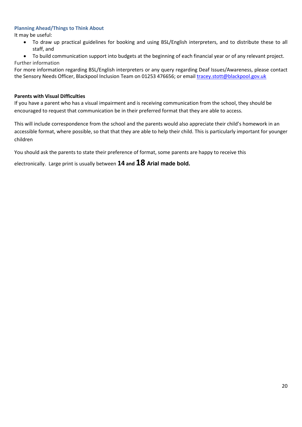## **Planning Ahead/Things to Think About**

It may be useful:

- To draw up practical guidelines for booking and using BSL/English interpreters, and to distribute these to all staff, and
- To build communication support into budgets at the beginning of each financial year or of any relevant project. Further information

For more information regarding BSL/English interpreters or any query regarding Deaf Issues/Awareness, please contact the Sensory Needs Officer, Blackpool Inclusion Team on 01253 476656; or email [tracey.stott@blackpool.gov.uk](mailto:tracey.stott@blackpool.gov.uk)

#### **Parents with Visual Difficulties**

If you have a parent who has a visual impairment and is receiving communication from the school, they should be encouraged to request that communication be in their preferred format that they are able to access.

This will include correspondence from the school and the parents would also appreciate their child's homework in an accessible format, where possible, so that that they are able to help their child. This is particularly important for younger children

You should ask the parents to state their preference of format, some parents are happy to receive this

electronically. Large print is usually between **14 and 18 Arial made bold.**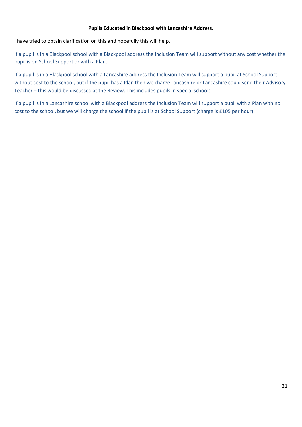#### **Pupils Educated in Blackpool with Lancashire Address.**

I have tried to obtain clarification on this and hopefully this will help.

If a pupil is in a Blackpool school with a Blackpool address the Inclusion Team will support without any cost whether the pupil is on School Support or with a Plan**.** 

If a pupil is in a Blackpool school with a Lancashire address the Inclusion Team will support a pupil at School Support without cost to the school, but if the pupil has a Plan then we charge Lancashire or Lancashire could send their Advisory Teacher – this would be discussed at the Review. This includes pupils in special schools.

If a pupil is in a Lancashire school with a Blackpool address the Inclusion Team will support a pupil with a Plan with no cost to the school, but we will charge the school if the pupil is at School Support (charge is £105 per hour).